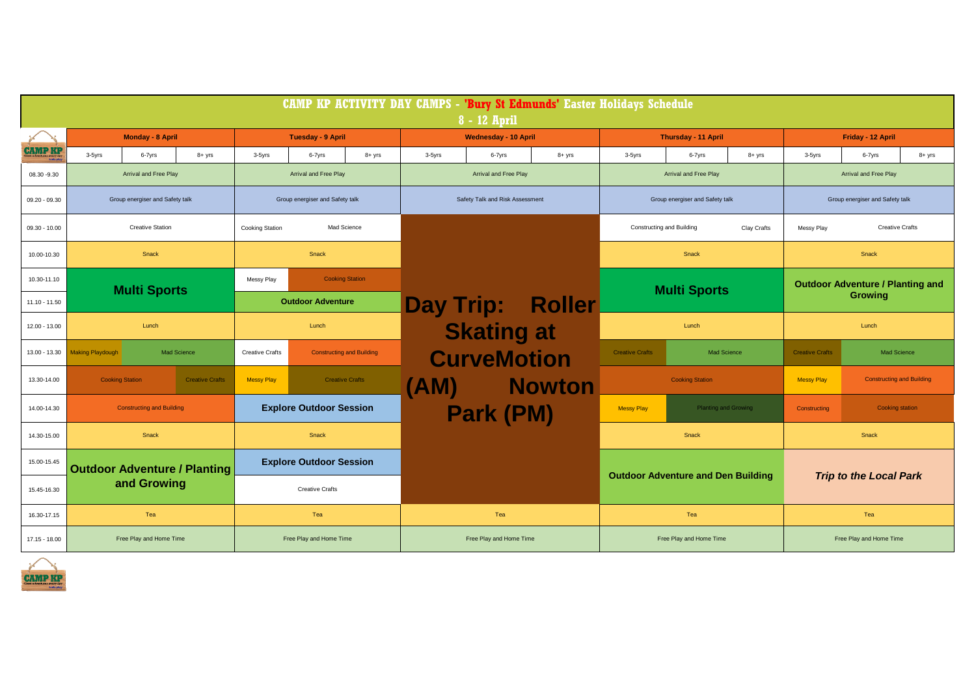| <b>CAMP KP ACTIVITY DAY CAMPS - 'Bury St Edmunds' Easter Holidays Schedule</b><br>8 - 12 April |                                                    |                    |                                                          |                                                            |                        |                                              |                                 |                                           |                                              |                                          |                                              |                        |                                                       |        |           |
|------------------------------------------------------------------------------------------------|----------------------------------------------------|--------------------|----------------------------------------------------------|------------------------------------------------------------|------------------------|----------------------------------------------|---------------------------------|-------------------------------------------|----------------------------------------------|------------------------------------------|----------------------------------------------|------------------------|-------------------------------------------------------|--------|-----------|
|                                                                                                | <b>Monday - 8 April</b>                            |                    |                                                          | <b>Tuesday - 9 April</b>                                   |                        |                                              | <b>Wednesday - 10 April</b>     |                                           |                                              | Thursday - 11 April                      |                                              |                        | Friday - 12 April                                     |        |           |
| <b>CAMP KP</b>                                                                                 | 3-5yrs                                             | 6-7yrs             | $8 + yrs$                                                | 3-5yrs                                                     | 6-7yrs                 | $8 + yrs$                                    | 3-5yrs                          | 6-7yrs                                    | 8+ yrs                                       | 3-5yrs                                   | 6-7yrs                                       | $8 + yrs$              | 3-5yrs                                                | 6-7yrs | $8 + yrs$ |
| 08.30 - 9.30                                                                                   | <b>Arrival and Free Play</b>                       |                    |                                                          | <b>Arrival and Free Play</b>                               |                        |                                              | <b>Arrival and Free Play</b>    |                                           |                                              | <b>Arrival and Free Play</b>             |                                              |                        | Arrival and Free Play                                 |        |           |
| $09.20 - 09.30$                                                                                | Group energiser and Safety talk                    |                    |                                                          | Group energiser and Safety talk                            |                        |                                              | Safety Talk and Risk Assessment |                                           |                                              | Group energiser and Safety talk          |                                              |                        | Group energiser and Safety talk                       |        |           |
| $09.30 - 10.00$                                                                                | <b>Creative Station</b>                            |                    |                                                          | Mad Science<br><b>Cooking Station</b>                      |                        |                                              |                                 |                                           |                                              | Constructing and Building<br>Clay Crafts |                                              |                        | <b>Creative Crafts</b><br>Messy Play                  |        |           |
| 10.00-10.30                                                                                    | Snack                                              |                    |                                                          |                                                            | Snack                  |                                              |                                 |                                           |                                              | Snack                                    |                                              |                        | Snack                                                 |        |           |
| 10.30-11.10                                                                                    | <b>Multi Sports</b>                                |                    |                                                          | <b>Messy Play</b>                                          | <b>Cooking Station</b> |                                              |                                 |                                           |                                              | <b>Multi Sports</b>                      |                                              |                        | <b>Outdoor Adventure / Planting and</b>               |        |           |
| $11.10 - 11.50$                                                                                |                                                    |                    | <b>Outdoor Adventure</b>                                 |                                                            |                        | <b>Day Trip: Roller</b><br><b>Skating at</b> |                                 |                                           |                                              |                                          |                                              | <b>Growing</b>         |                                                       |        |           |
| 12.00 - 13.00                                                                                  | Lunch                                              |                    |                                                          | Lunch                                                      |                        |                                              |                                 |                                           | Lunch                                        |                                          |                                              | Lunch                  |                                                       |        |           |
| 13.00 - 13.30                                                                                  | <b>Making Playdough</b>                            | <b>Mad Science</b> |                                                          | <b>Constructing and Building</b><br><b>Creative Crafts</b> |                        | <b>CurveMotion</b>                           |                                 |                                           | <b>Mad Science</b><br><b>Creative Crafts</b> |                                          | <b>Mad Science</b><br><b>Creative Crafts</b> |                        |                                                       |        |           |
| 13.30-14.00                                                                                    | <b>Cooking Station</b>                             |                    | <b>Creative Crafts</b>                                   | <b>Creative Crafts</b><br><b>Messy Play</b>                |                        |                                              | (AM)                            |                                           | <b>Nowton</b>                                |                                          | <b>Cooking Station</b>                       |                        | <b>Constructing and Building</b><br><b>Messy Play</b> |        |           |
| 14.00-14.30                                                                                    | <b>Constructing and Building</b>                   |                    | <b>Explore Outdoor Session</b>                           |                                                            | Park (PM)              |                                              |                                 | <b>Messy Play</b>                         | <b>Planting and Growing</b>                  |                                          | Constructing                                 | <b>Cooking station</b> |                                                       |        |           |
| 14.30-15.00                                                                                    | <b>Snack</b>                                       |                    | Snack                                                    |                                                            |                        |                                              |                                 | Snack                                     |                                              |                                          | Snack                                        |                        |                                                       |        |           |
| 15.00-15.45                                                                                    | <b>Outdoor Adventure / Planting</b><br>and Growing |                    | <b>Explore Outdoor Session</b><br><b>Creative Crafts</b> |                                                            |                        |                                              |                                 | <b>Outdoor Adventure and Den Building</b> |                                              |                                          | <b>Trip to the Local Park</b>                |                        |                                                       |        |           |
| 15.45-16.30                                                                                    |                                                    |                    |                                                          |                                                            |                        |                                              |                                 |                                           |                                              |                                          |                                              |                        |                                                       |        |           |
| 16.30-17.15                                                                                    | Tea                                                |                    |                                                          | Tea                                                        |                        |                                              | Tea                             |                                           |                                              | Tea                                      |                                              |                        | Tea                                                   |        |           |
| $17.15 - 18.00$                                                                                | Free Play and Home Time                            |                    |                                                          | Free Play and Home Time                                    |                        |                                              | Free Play and Home Time         |                                           |                                              | Free Play and Home Time                  |                                              |                        | Free Play and Home Time                               |        |           |